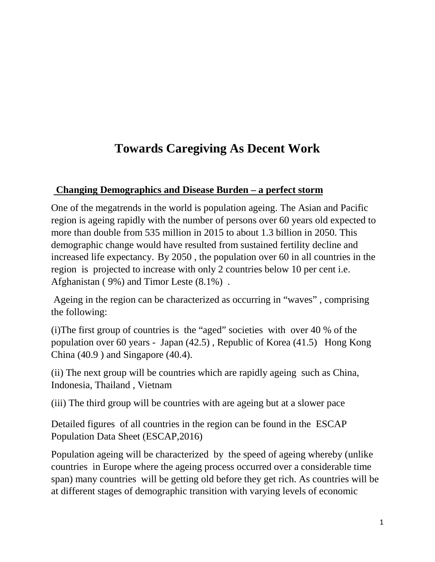## **Towards Caregiving As Decent Work**

#### **Changing Demographics and Disease Burden – a perfect storm**

One of the megatrends in the world is population ageing. The Asian and Pacific region is ageing rapidly with the number of persons over 60 years old expected to more than double from 535 million in 2015 to about 1.3 billion in 2050. This demographic change would have resulted from sustained fertility decline and increased life expectancy. By 2050 , the population over 60 in all countries in the region is projected to increase with only 2 countries below 10 per cent i.e. Afghanistan ( 9%) and Timor Leste (8.1%) .

Ageing in the region can be characterized as occurring in "waves" , comprising the following:

(i)The first group of countries is the "aged" societies with over 40 % of the population over 60 years - Japan (42.5) , Republic of Korea (41.5) Hong Kong China (40.9 ) and Singapore (40.4).

(ii) The next group will be countries which are rapidly ageing such as China, Indonesia, Thailand , Vietnam

(iii) The third group will be countries with are ageing but at a slower pace

Detailed figures of all countries in the region can be found in the ESCAP Population Data Sheet (ESCAP,2016)

Population ageing will be characterized by the speed of ageing whereby (unlike countries in Europe where the ageing process occurred over a considerable time span) many countries will be getting old before they get rich. As countries will be at different stages of demographic transition with varying levels of economic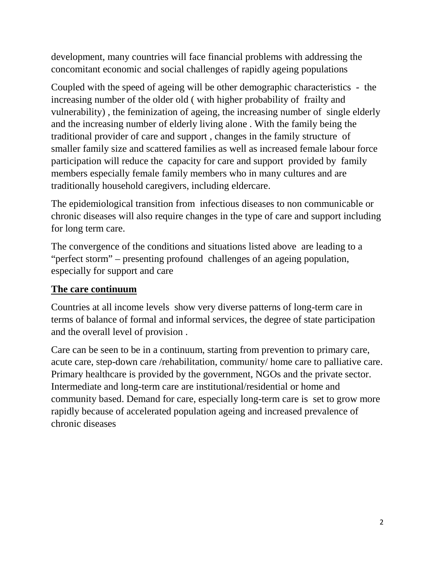development, many countries will face financial problems with addressing the concomitant economic and social challenges of rapidly ageing populations

Coupled with the speed of ageing will be other demographic characteristics - the increasing number of the older old ( with higher probability of frailty and vulnerability) , the feminization of ageing, the increasing number of single elderly and the increasing number of elderly living alone . With the family being the traditional provider of care and support , changes in the family structure of smaller family size and scattered families as well as increased female labour force participation will reduce the capacity for care and support provided by family members especially female family members who in many cultures and are traditionally household caregivers, including eldercare.

The epidemiological transition from infectious diseases to non communicable or chronic diseases will also require changes in the type of care and support including for long term care.

The convergence of the conditions and situations listed above are leading to a "perfect storm" – presenting profound challenges of an ageing population, especially for support and care

#### **The care continuum**

Countries at all income levels show very diverse patterns of long-term care in terms of balance of formal and informal services, the degree of state participation and the overall level of provision .

Care can be seen to be in a continuum, starting from prevention to primary care, acute care, step-down care /rehabilitation, community/ home care to palliative care. Primary healthcare is provided by the government, NGOs and the private sector. Intermediate and long-term care are institutional/residential or home and community based. Demand for care, especially long-term care is set to grow more rapidly because of accelerated population ageing and increased prevalence of chronic diseases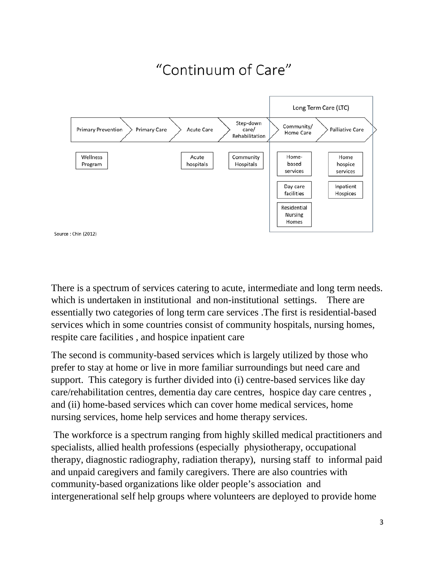#### "Continuum of Care" Long Term Care (LTC) Step-down Community/ **Primary Prevention Primary Care** Acute Care Palliative Care care/ Home Care Rehabilitation Wellness Acute Community Home-Home based Program hospitals Hospitals hospice services services Inpatient Day care facilities Hospices Residential **Nursing** Homes Source: Chin (2012)

There is a spectrum of services catering to acute, intermediate and long term needs. which is undertaken in institutional and non-institutional settings. There are essentially two categories of long term care services .The first is residential-based services which in some countries consist of community hospitals, nursing homes, respite care facilities , and hospice inpatient care

The second is community-based services which is largely utilized by those who prefer to stay at home or live in more familiar surroundings but need care and support. This category is further divided into (i) centre-based services like day care/rehabilitation centres, dementia day care centres, hospice day care centres , and (ii) home-based services which can cover home medical services, home nursing services, home help services and home therapy services.

The workforce is a spectrum ranging from highly skilled medical practitioners and specialists, allied health professions (especially physiotherapy, occupational therapy, diagnostic radiography, radiation therapy), nursing staff to informal paid and unpaid caregivers and family caregivers. There are also countries with community-based organizations like older people's association and intergenerational self help groups where volunteers are deployed to provide home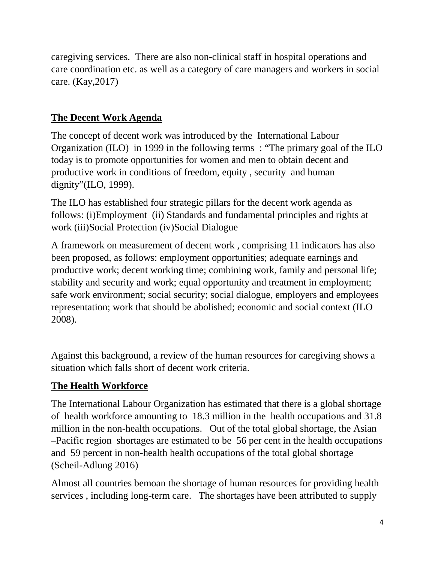caregiving services. There are also non-clinical staff in hospital operations and care coordination etc. as well as a category of care managers and workers in social care. (Kay,2017)

#### **The Decent Work Agenda**

The concept of decent work was introduced by the International Labour Organization (ILO) in 1999 in the following terms : "The primary goal of the ILO today is to promote opportunities for women and men to obtain decent and productive work in conditions of freedom, equity , security and human dignity"(ILO, 1999).

The ILO has established four strategic pillars for the decent work agenda as follows: (i)Employment (ii) Standards and fundamental principles and rights at work (iii)Social Protection (iv)Social Dialogue

A framework on measurement of decent work , comprising 11 indicators has also been proposed, as follows: employment opportunities; adequate earnings and productive work; decent working time; combining work, family and personal life; stability and security and work; equal opportunity and treatment in employment; safe work environment; social security; social dialogue, employers and employees representation; work that should be abolished; economic and social context (ILO 2008).

Against this background, a review of the human resources for caregiving shows a situation which falls short of decent work criteria.

### **The Health Workforce**

The International Labour Organization has estimated that there is a global shortage of health workforce amounting to 18.3 million in the health occupations and 31.8 million in the non-health occupations. Out of the total global shortage, the Asian –Pacific region shortages are estimated to be 56 per cent in the health occupations and 59 percent in non-health health occupations of the total global shortage (Scheil-Adlung 2016)

Almost all countries bemoan the shortage of human resources for providing health services , including long-term care. The shortages have been attributed to supply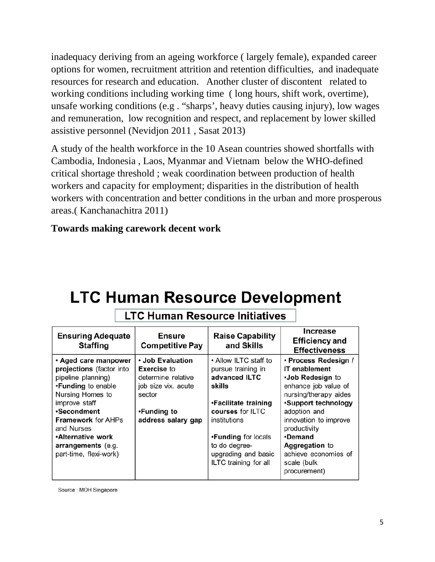inadequacy deriving from an ageing workforce ( largely female), expanded career options for women, recruitment attrition and retention difficulties, and inadequate resources for research and education. Another cluster of discontent related to working conditions including working time ( long hours, shift work, overtime), unsafe working conditions (e.g . "sharps', heavy duties causing injury), low wages and remuneration, low recognition and respect, and replacement by lower skilled assistive personnel (Nevidjon 2011 , Sasat 2013)

A study of the health workforce in the 10 Asean countries showed shortfalls with Cambodia, Indonesia , Laos, Myanmar and Vietnam below the WHO-defined critical shortage threshold ; weak coordination between production of health workers and capacity for employment; disparities in the distribution of health workers with concentration and better conditions in the urban and more prosperous areas.( Kanchanachitra 2011)

#### **Towards making carework decent work**

# **LTC Human Resource Development**

| <b>Ensuring Adequate</b><br><b>Staffing</b>                                                                                                                                                                                                                            | <b>Ensure</b><br><b>Competitive Pay</b>                                                                                            | <b>Raise Capability</b><br>and Skills                                                                                                                                                                                             | Increase<br><b>Efficiency and</b><br><b>Effectiveness</b>                                                                                                                                                                                                                                    |
|------------------------------------------------------------------------------------------------------------------------------------------------------------------------------------------------------------------------------------------------------------------------|------------------------------------------------------------------------------------------------------------------------------------|-----------------------------------------------------------------------------------------------------------------------------------------------------------------------------------------------------------------------------------|----------------------------------------------------------------------------------------------------------------------------------------------------------------------------------------------------------------------------------------------------------------------------------------------|
| • Aged care manpower<br>projections (factor into<br>pipeline planning)<br>•Funding to enable<br>Nursing Homes to<br>improve staff<br>•Secondment<br><b>Framework for AHPs</b><br>and Nurses<br><b>Alternative work</b><br>arrangements (e.g.<br>part-time, flexi-work) | • Job Evaluation<br><b>Exercise to</b><br>determine relative<br>job size vix. acute<br>sector<br>•Funding to<br>address salary gap | • Allow ILTC staff to<br>pursue training in<br>advanced ILTC<br>skills<br>•Facilitate training<br>courses for ILTC<br>institutions<br><b>.Funding for locals</b><br>to do degree-<br>upgrading and basic<br>ILTC training for all | · Process Redesign /<br><b>IT</b> enablement<br>•Job Redesign to<br>enhance job value of<br>nursing/therapy aides<br>•Support technology<br>adoption and<br>innovation to improve<br>productivity<br><b>•Demand</b><br>Aggregation to<br>achieve economies of<br>scale (bulk<br>procurement) |

### **LTC Human Resource Initiatives**

Source : MOH Singapore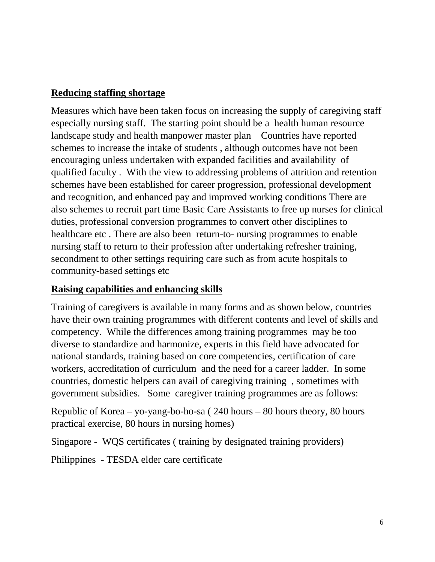#### **Reducing staffing shortage**

Measures which have been taken focus on increasing the supply of caregiving staff especially nursing staff. The starting point should be a health human resource landscape study and health manpower master plan Countries have reported schemes to increase the intake of students , although outcomes have not been encouraging unless undertaken with expanded facilities and availability of qualified faculty . With the view to addressing problems of attrition and retention schemes have been established for career progression, professional development and recognition, and enhanced pay and improved working conditions There are also schemes to recruit part time Basic Care Assistants to free up nurses for clinical duties, professional conversion programmes to convert other disciplines to healthcare etc . There are also been return-to- nursing programmes to enable nursing staff to return to their profession after undertaking refresher training, secondment to other settings requiring care such as from acute hospitals to community-based settings etc

#### **Raising capabilities and enhancing skills**

Training of caregivers is available in many forms and as shown below, countries have their own training programmes with different contents and level of skills and competency. While the differences among training programmes may be too diverse to standardize and harmonize, experts in this field have advocated for national standards, training based on core competencies, certification of care workers, accreditation of curriculum and the need for a career ladder. In some countries, domestic helpers can avail of caregiving training , sometimes with government subsidies. Some caregiver training programmes are as follows:

Republic of Korea – yo-yang-bo-ho-sa ( 240 hours – 80 hours theory, 80 hours practical exercise, 80 hours in nursing homes)

Singapore - WQS certificates ( training by designated training providers)

Philippines - TESDA elder care certificate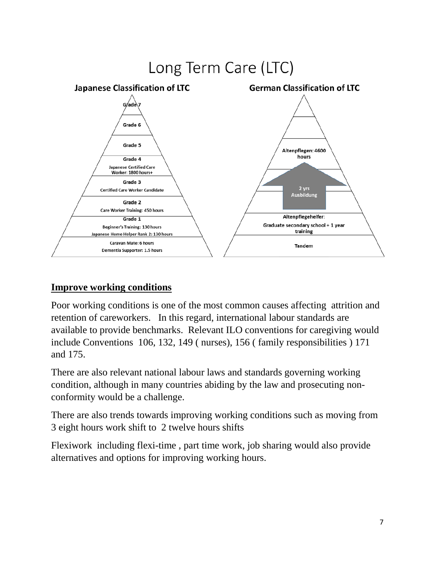

#### **Improve working conditions**

Poor working conditions is one of the most common causes affecting attrition and retention of careworkers. In this regard, international labour standards are available to provide benchmarks. Relevant ILO conventions for caregiving would include Conventions 106, 132, 149 ( nurses), 156 ( family responsibilities ) 171 and 175.

There are also relevant national labour laws and standards governing working condition, although in many countries abiding by the law and prosecuting nonconformity would be a challenge.

There are also trends towards improving working conditions such as moving from 3 eight hours work shift to 2 twelve hours shifts

Flexiwork including flexi-time , part time work, job sharing would also provide alternatives and options for improving working hours.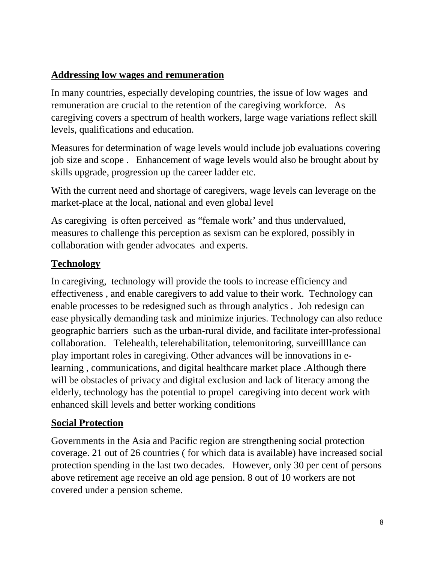#### **Addressing low wages and remuneration**

In many countries, especially developing countries, the issue of low wages and remuneration are crucial to the retention of the caregiving workforce. As caregiving covers a spectrum of health workers, large wage variations reflect skill levels, qualifications and education.

Measures for determination of wage levels would include job evaluations covering job size and scope . Enhancement of wage levels would also be brought about by skills upgrade, progression up the career ladder etc.

With the current need and shortage of caregivers, wage levels can leverage on the market-place at the local, national and even global level

As caregiving is often perceived as "female work' and thus undervalued, measures to challenge this perception as sexism can be explored, possibly in collaboration with gender advocates and experts.

#### **Technology**

In caregiving, technology will provide the tools to increase efficiency and effectiveness , and enable caregivers to add value to their work. Technology can enable processes to be redesigned such as through analytics . Job redesign can ease physically demanding task and minimize injuries. Technology can also reduce geographic barriers such as the urban-rural divide, and facilitate inter-professional collaboration. Telehealth, telerehabilitation, telemonitoring, surveillllance can play important roles in caregiving. Other advances will be innovations in elearning , communications, and digital healthcare market place .Although there will be obstacles of privacy and digital exclusion and lack of literacy among the elderly, technology has the potential to propel caregiving into decent work with enhanced skill levels and better working conditions

#### **Social Protection**

Governments in the Asia and Pacific region are strengthening social protection coverage. 21 out of 26 countries ( for which data is available) have increased social protection spending in the last two decades. However, only 30 per cent of persons above retirement age receive an old age pension. 8 out of 10 workers are not covered under a pension scheme.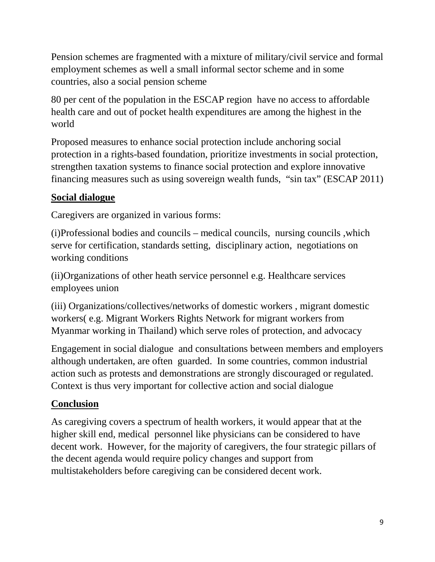Pension schemes are fragmented with a mixture of military/civil service and formal employment schemes as well a small informal sector scheme and in some countries, also a social pension scheme

80 per cent of the population in the ESCAP region have no access to affordable health care and out of pocket health expenditures are among the highest in the world

Proposed measures to enhance social protection include anchoring social protection in a rights-based foundation, prioritize investments in social protection, strengthen taxation systems to finance social protection and explore innovative financing measures such as using sovereign wealth funds, "sin tax" (ESCAP 2011)

### **Social dialogue**

Caregivers are organized in various forms:

(i)Professional bodies and councils – medical councils, nursing councils ,which serve for certification, standards setting, disciplinary action, negotiations on working conditions

(ii)Organizations of other heath service personnel e.g. Healthcare services employees union

(iii) Organizations/collectives/networks of domestic workers , migrant domestic workers( e.g. Migrant Workers Rights Network for migrant workers from Myanmar working in Thailand) which serve roles of protection, and advocacy

Engagement in social dialogue and consultations between members and employers although undertaken, are often guarded. In some countries, common industrial action such as protests and demonstrations are strongly discouraged or regulated. Context is thus very important for collective action and social dialogue

#### **Conclusion**

As caregiving covers a spectrum of health workers, it would appear that at the higher skill end, medical personnel like physicians can be considered to have decent work. However, for the majority of caregivers, the four strategic pillars of the decent agenda would require policy changes and support from multistakeholders before caregiving can be considered decent work.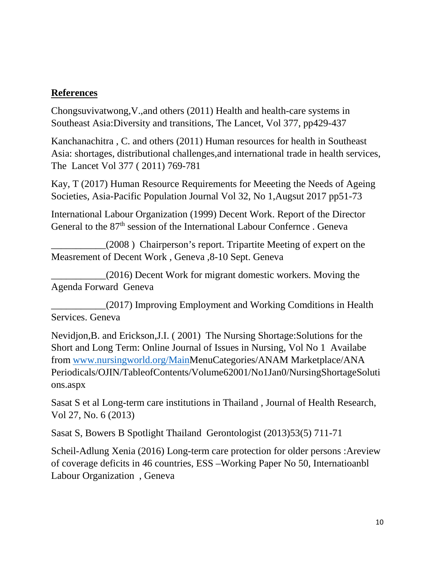#### **References**

Chongsuvivatwong,V.,and others (2011) Health and health-care systems in Southeast Asia:Diversity and transitions, The Lancet, Vol 377, pp429-437

Kanchanachitra , C. and others (2011) Human resources for health in Southeast Asia: shortages, distributional challenges,and international trade in health services, The Lancet Vol 377 ( 2011) 769-781

Kay, T (2017) Human Resource Requirements for Meeeting the Needs of Ageing Societies, Asia-Pacific Population Journal Vol 32, No 1,Augsut 2017 pp51-73

International Labour Organization (1999) Decent Work. Report of the Director General to the 87<sup>th</sup> session of the International Labour Confernce . Geneva

\_\_\_\_\_\_\_\_\_\_\_(2008 ) Chairperson's report. Tripartite Meeting of expert on the Measrement of Decent Work , Geneva ,8-10 Sept. Geneva

\_\_\_\_\_\_\_\_\_\_\_(2016) Decent Work for migrant domestic workers. Moving the Agenda Forward Geneva

\_\_\_\_\_\_\_\_\_\_\_(2017) Improving Employment and Working Comditions in Health Services. Geneva

Nevidjon,B. and Erickson,J.I. ( 2001) The Nursing Shortage:Solutions for the Short and Long Term: Online Journal of Issues in Nursing, Vol No 1 Availabe from [www.nursingworld.org/MainM](http://www.nursingworld.org/Main)enuCategories/ANAM Marketplace/ANA Periodicals/OJIN/TableofContents/Volume62001/No1Jan0/NursingShortageSoluti ons.aspx

Sasat S et al Long-term care institutions in Thailand , Journal of Health Research, Vol 27, No. 6 (2013)

Sasat S, Bowers B Spotlight Thailand Gerontologist (2013)53(5) 711-71

Scheil-Adlung Xenia (2016) Long-term care protection for older persons :Areview of coverage deficits in 46 countries, ESS –Working Paper No 50, Internatioanbl Labour Organization , Geneva